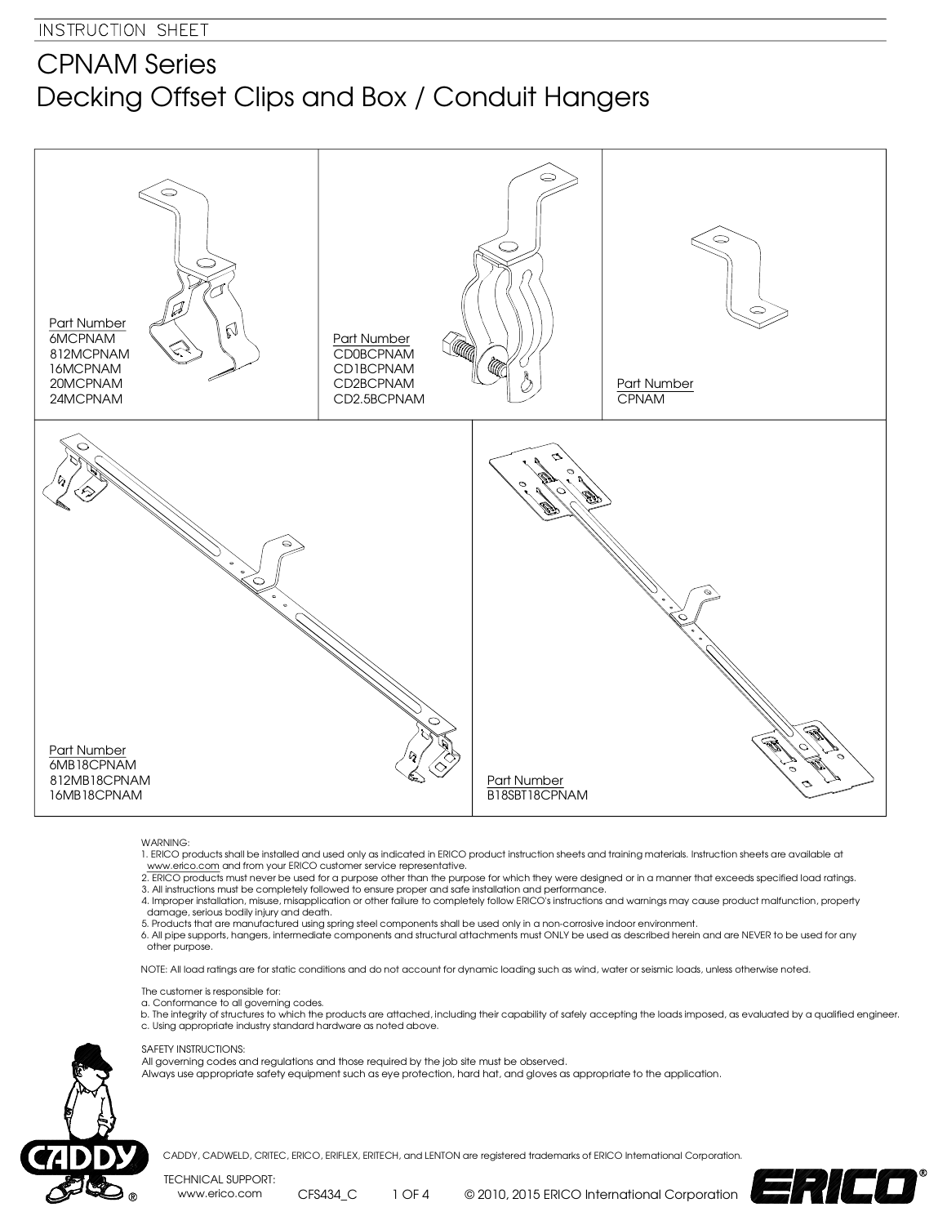## CPNAM Series Decking Offset Clips and Box / Conduit Hangers



## WARNING:

- 1. ERICO products shall be installed and used only as indicated in ERICO product instruction sheets and training materials. Instruction sheets are available at www.erico.com and from your ERICO customer service representative.
- 2. ERICO products must never be used for a purpose other than the purpose for which they were designed or in a manner that exceeds specified load ratings. 3. All instructions must be completely followed to ensure proper and safe installation and performance.
- 4. Improper installation, misuse, misapplication or other failure to completely follow ERICO's instructions and warnings may cause product malfunction, property damage, serious bodily injury and death.
- 5. Products that are manufactured using spring steel components shall be used only in a non-corrosive indoor environment.
- 6. All pipe supports, hangers, intermediate components and structural attachments must ONLY be used as described herein and are NEVER to be used for any other purpose.

NOTE: All load ratings are for static conditions and do not account for dynamic loading such as wind, water or seismic loads, unless otherwise noted.

- The customer is responsible for:
- a. Conformance to all governing codes.
- b. The integrity of structures to which the products are attached, including their capability of safely accepting the loads imposed, as evaluated by a qualified engineer. c. Using appropriate industry standard hardware as noted above.

## SAFETY INSTRUCTIONS:

- All governing codes and regulations and those required by the job site must be observed.
- Always use appropriate safety equipment such as eye protection, hard hat, and gloves as appropriate to the application.



CADDY, CADWELD, CRITEC, ERICO, ERIFLEX, ERITECH, and LENTON are registered trademarks of ERICO International Corporation.

TECHNICAL SUPPORT: www.erico.com CFS434\_C

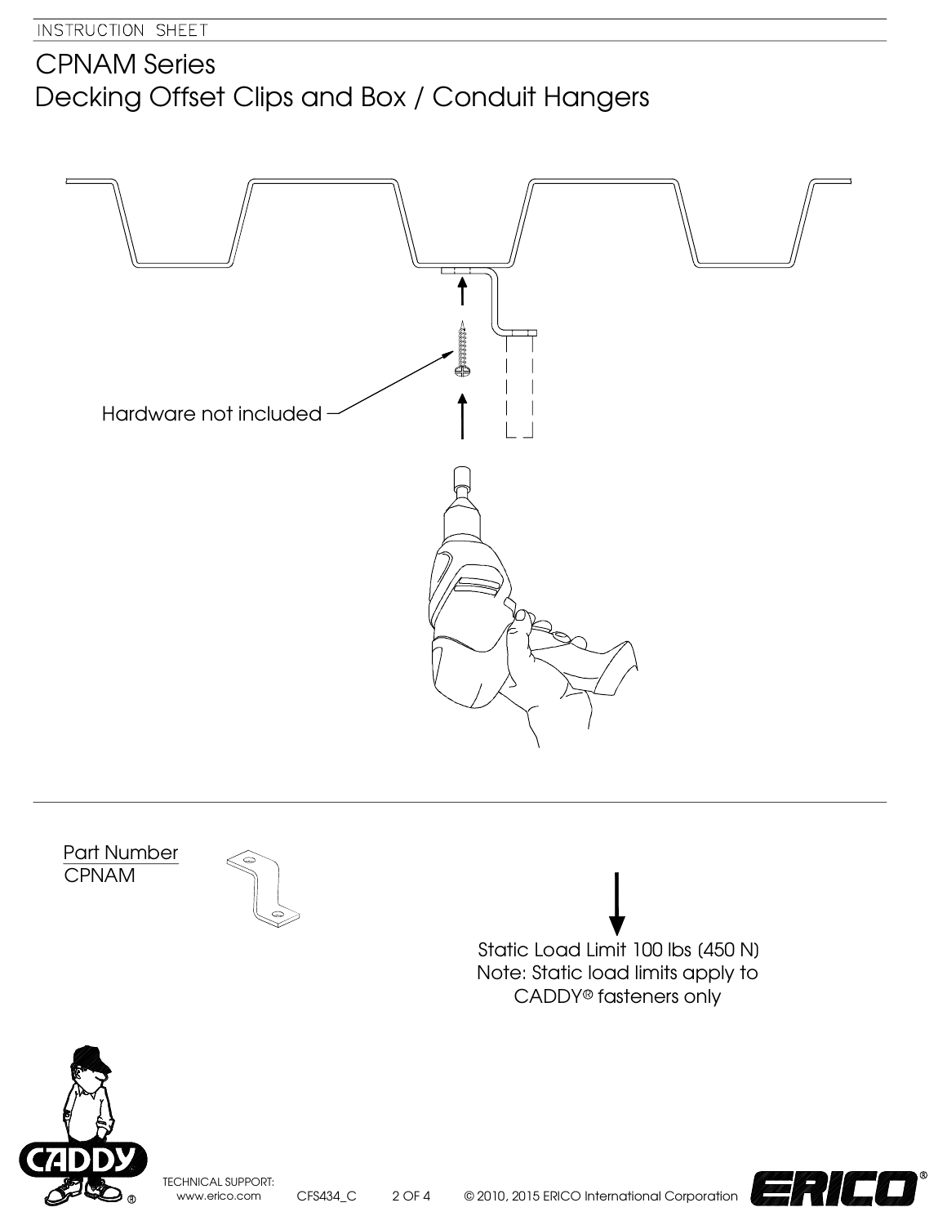## CPNAM Series Decking Offset Clips and Box / Conduit Hangers



TECHNICAL SUPPORT: www.erico.com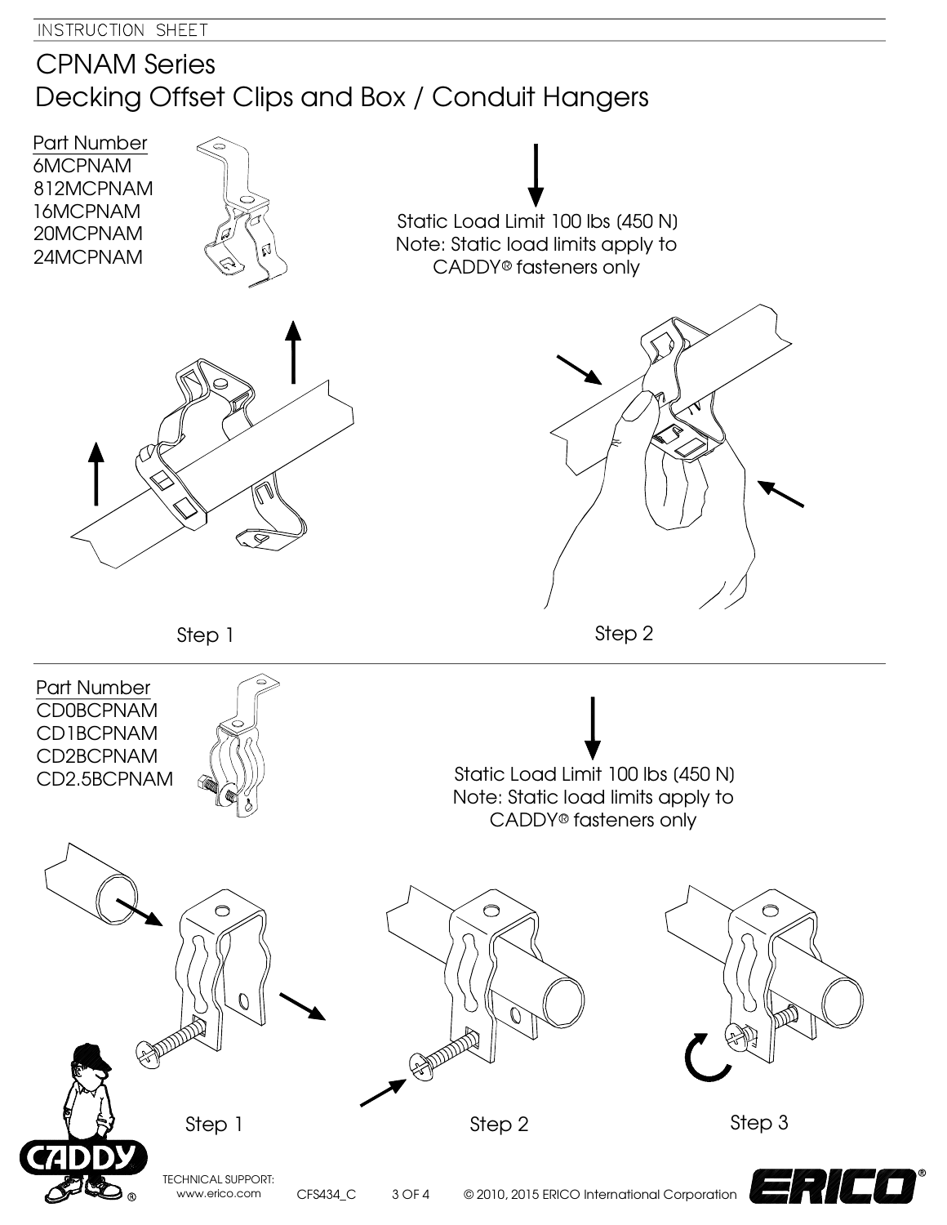